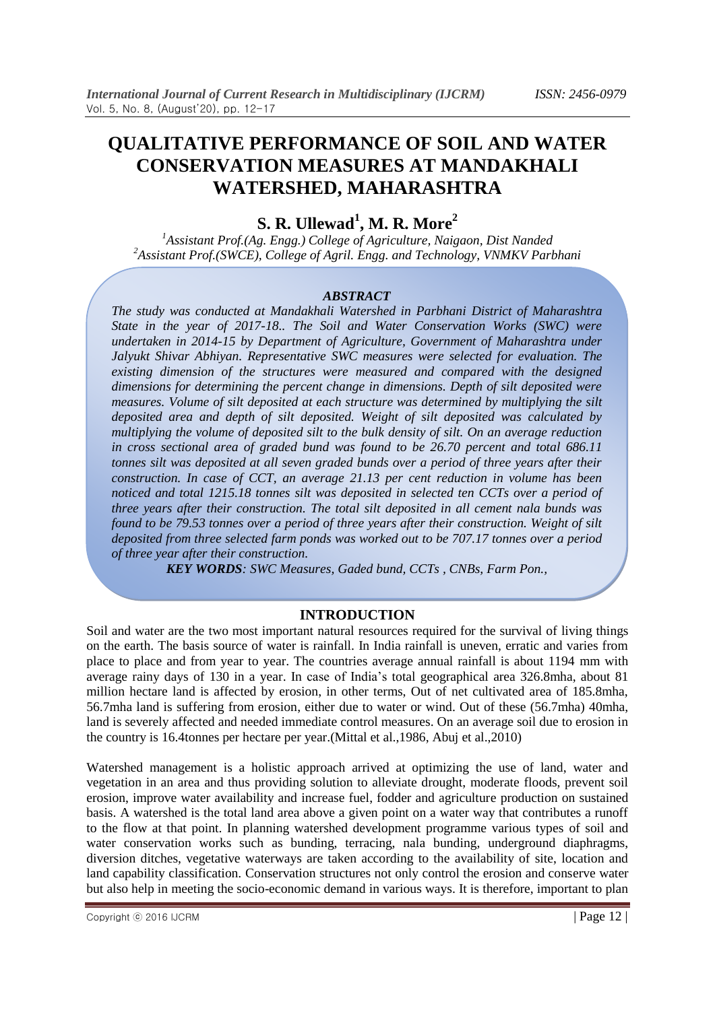# **QUALITATIVE PERFORMANCE OF SOIL AND WATER CONSERVATION MEASURES AT MANDAKHALI WATERSHED, MAHARASHTRA**

# **S. R. Ullewad<sup>1</sup> , M. R. More<sup>2</sup>**

*<sup>1</sup>Assistant Prof.(Ag. Engg.) College of Agriculture, Naigaon, Dist Nanded <sup>2</sup>Assistant Prof.(SWCE), College of Agril. Engg. and Technology, VNMKV Parbhani*

#### *ABSTRACT*

*The study was conducted at Mandakhali Watershed in Parbhani District of Maharashtra State in the year of 2017-18.. The Soil and Water Conservation Works (SWC) were undertaken in 2014-15 by Department of Agriculture, Government of Maharashtra under Jalyukt Shivar Abhiyan. Representative SWC measures were selected for evaluation. The existing dimension of the structures were measured and compared with the designed dimensions for determining the percent change in dimensions. Depth of silt deposited were measures. Volume of silt deposited at each structure was determined by multiplying the silt deposited area and depth of silt deposited. Weight of silt deposited was calculated by multiplying the volume of deposited silt to the bulk density of silt. On an average reduction in cross sectional area of graded bund was found to be 26.70 percent and total 686.11 tonnes silt was deposited at all seven graded bunds over a period of three years after their construction. In case of CCT, an average 21.13 per cent reduction in volume has been noticed and total 1215.18 tonnes silt was deposited in selected ten CCTs over a period of three years after their construction. The total silt deposited in all cement nala bunds was found to be 79.53 tonnes over a period of three years after their construction. Weight of silt deposited from three selected farm ponds was worked out to be 707.17 tonnes over a period of three year after their construction.*

*KEY WORDS: SWC Measures, Gaded bund, CCTs , CNBs, Farm Pon.,*

# **INTRODUCTION**

Soil and water are the two most important natural resources required for the survival of living things on the earth. The basis source of water is rainfall. In India rainfall is uneven, erratic and varies from place to place and from year to year. The countries average annual rainfall is about 1194 mm with average rainy days of 130 in a year. In case of India's total geographical area 326.8mha, about 81 million hectare land is affected by erosion, in other terms, Out of net cultivated area of 185.8mha, 56.7mha land is suffering from erosion, either due to water or wind. Out of these (56.7mha) 40mha, land is severely affected and needed immediate control measures. On an average soil due to erosion in the country is 16.4tonnes per hectare per year.(Mittal et al.,1986, Abuj et al.,2010)

Watershed management is a holistic approach arrived at optimizing the use of land, water and vegetation in an area and thus providing solution to alleviate drought, moderate floods, prevent soil erosion, improve water availability and increase fuel, fodder and agriculture production on sustained basis. A watershed is the total land area above a given point on a water way that contributes a runoff to the flow at that point. In planning watershed development programme various types of soil and water conservation works such as bunding, terracing, nala bunding, underground diaphragms, diversion ditches, vegetative waterways are taken according to the availability of site, location and land capability classification. Conservation structures not only control the erosion and conserve water but also help in meeting the socio-economic demand in various ways. It is therefore, important to plan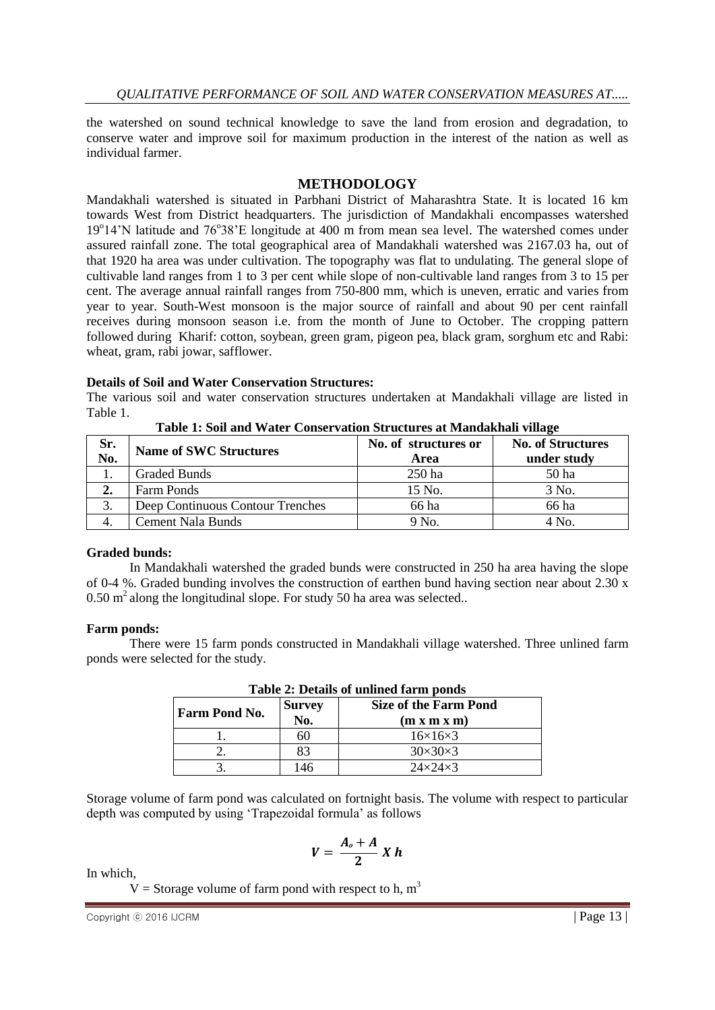the watershed on sound technical knowledge to save the land from erosion and degradation, to conserve water and improve soil for maximum production in the interest of the nation as well as individual farmer.

# **METHODOLOGY**

Mandakhali watershed is situated in Parbhani District of Maharashtra State. It is located 16 km towards West from District headquarters. The jurisdiction of Mandakhali encompasses watershed 19°14'N latitude and 76°38'E longitude at 400 m from mean sea level. The watershed comes under assured rainfall zone. The total geographical area of Mandakhali watershed was 2167.03 ha, out of that 1920 ha area was under cultivation. The topography was flat to undulating. The general slope of cultivable land ranges from 1 to 3 per cent while slope of non-cultivable land ranges from 3 to 15 per cent. The average annual rainfall ranges from 750-800 mm, which is uneven, erratic and varies from year to year. South-West monsoon is the major source of rainfall and about 90 per cent rainfall receives during monsoon season i.e. from the month of June to October. The cropping pattern followed during Kharif: cotton, soybean, green gram, pigeon pea, black gram, sorghum etc and Rabi: wheat, gram, rabi jowar, safflower.

### **Details of Soil and Water Conservation Structures:**

The various soil and water conservation structures undertaken at Mandakhali village are listed in Table 1.

| Sr.<br>No.       | <b>Name of SWC Structures</b>    | No. of structures or<br>Area | <b>No. of Structures</b><br>under study |
|------------------|----------------------------------|------------------------------|-----------------------------------------|
|                  | <b>Graded Bunds</b>              | $250$ ha                     | 50 ha                                   |
| $\overline{2}$ . | Farm Ponds                       | 15 No.                       | 3 No.                                   |
|                  | Deep Continuous Contour Trenches | 66 ha                        | 66 ha                                   |
|                  | Cement Nala Bunds                | 9 No.                        | 4 No.                                   |

**Table 1: Soil and Water Conservation Structures at Mandakhali village**

# **Graded bunds:**

In Mandakhali watershed the graded bunds were constructed in 250 ha area having the slope of 0-4 %. Graded bunding involves the construction of earthen bund having section near about 2.30 x  $0.50$  m<sup>2</sup> along the longitudinal slope. For study 50 ha area was selected..

# **Farm ponds:**

There were 15 farm ponds constructed in Mandakhali village watershed. Three unlined farm ponds were selected for the study.

| Table 2: Details of unified family points |               |                              |  |  |  |  |  |  |
|-------------------------------------------|---------------|------------------------------|--|--|--|--|--|--|
| <b>Farm Pond No.</b>                      | <b>Survey</b> | <b>Size of the Farm Pond</b> |  |  |  |  |  |  |
|                                           | No.           | (m x m x m)                  |  |  |  |  |  |  |
|                                           | 60            | $16\times16\times3$          |  |  |  |  |  |  |
|                                           | 83            | $30\times30\times3$          |  |  |  |  |  |  |
|                                           | .46           | $24\times24\times3$          |  |  |  |  |  |  |

**Table 2: Details of unlined farm ponds**

Storage volume of farm pond was calculated on fortnight basis. The volume with respect to particular depth was computed by using 'Trapezoidal formula' as follows

$$
V=\frac{A_o+A}{2}\;X\;h
$$

In which,

V = Storage volume of farm pond with respect to h,  $m<sup>3</sup>$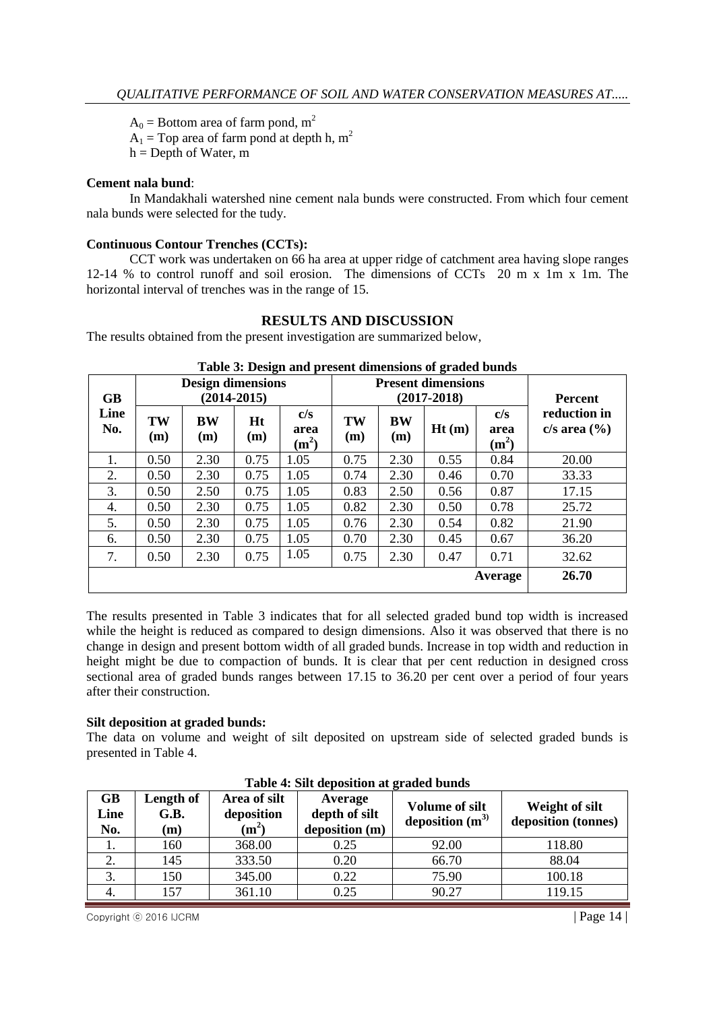$A_0$  = Bottom area of farm pond, m<sup>2</sup>

 $A_1$  = Top area of farm pond at depth h, m<sup>2</sup>

 $h =$ Depth of Water, m

#### **Cement nala bund**:

In Mandakhali watershed nine cement nala bunds were constructed. From which four cement nala bunds were selected for the tudy.

#### **Continuous Contour Trenches (CCTs):**

CCT work was undertaken on 66 ha area at upper ridge of catchment area having slope ranges 12-14 % to control runoff and soil erosion. The dimensions of CCTs 20 m x 1m x 1m. The horizontal interval of trenches was in the range of 15.

## **RESULTS AND DISCUSSION**

The results obtained from the present investigation are summarized below,

| <b>GB</b>   |           | <b>Design dimensions</b> | $(2014 - 2015)$ |                        |           | <b>Present dimensions</b><br>$(2017 - 2018)$ |       | Percent                          |                                            |
|-------------|-----------|--------------------------|-----------------|------------------------|-----------|----------------------------------------------|-------|----------------------------------|--------------------------------------------|
| Line<br>No. | TW<br>(m) | BW<br>(m)                | Ht<br>(m)       | c/s<br>area<br>$(m^2)$ | TW<br>(m) | <b>BW</b><br>(m)                             | Ht(m) | c/s<br>area<br>(m <sup>2</sup> ) | reduction in<br>$c/s$ area $(\frac{6}{6})$ |
| 1.          | 0.50      | 2.30                     | 0.75            | 1.05                   | 0.75      | 2.30                                         | 0.55  | 0.84                             | 20.00                                      |
| 2.          | 0.50      | 2.30                     | 0.75            | 1.05                   | 0.74      | 2.30                                         | 0.46  | 0.70                             | 33.33                                      |
| 3.          | 0.50      | 2.50                     | 0.75            | 1.05                   | 0.83      | 2.50                                         | 0.56  | 0.87                             | 17.15                                      |
| 4.          | 0.50      | 2.30                     | 0.75            | 1.05                   | 0.82      | 2.30                                         | 0.50  | 0.78                             | 25.72                                      |
| 5.          | 0.50      | 2.30                     | 0.75            | 1.05                   | 0.76      | 2.30                                         | 0.54  | 0.82                             | 21.90                                      |
| 6.          | 0.50      | 2.30                     | 0.75            | 1.05                   | 0.70      | 2.30                                         | 0.45  | 0.67                             | 36.20                                      |
| 7.          | 0.50      | 2.30                     | 0.75            | 1.05                   | 0.75      | 2.30                                         | 0.47  | 0.71                             | 32.62                                      |
|             |           |                          |                 |                        |           |                                              |       | Average                          | 26.70                                      |

#### **Table 3: Design and present dimensions of graded bunds**

The results presented in Table 3 indicates that for all selected graded bund top width is increased while the height is reduced as compared to design dimensions. Also it was observed that there is no change in design and present bottom width of all graded bunds. Increase in top width and reduction in height might be due to compaction of bunds. It is clear that per cent reduction in designed cross sectional area of graded bunds ranges between 17.15 to 36.20 per cent over a period of four years after their construction.

#### **Silt deposition at graded bunds:**

The data on volume and weight of silt deposited on upstream side of selected graded bunds is presented in Table 4.

| <b>GB</b><br>Line<br>No. | Length of<br>G.B.<br>(m) | Area of silt<br>deposition<br>$(m^2)$ | Average<br>depth of silt<br>deposition (m) | <b>Volume of silt</b><br>deposition $(m^3)$ | Weight of silt<br>deposition (tonnes) |
|--------------------------|--------------------------|---------------------------------------|--------------------------------------------|---------------------------------------------|---------------------------------------|
|                          | 160                      | 368.00                                | 0.25                                       | 92.00                                       | 118.80                                |
| $\bigcap$<br>۷.          | 145                      | 333.50                                | 0.20                                       | 66.70                                       | 88.04                                 |
| 3.                       | 150                      | 345.00                                | 0.22                                       | 75.90                                       | 100.18                                |
|                          | 157                      | 361.10                                | 0.25                                       | 90.27                                       | 119.15                                |

#### **Table 4: Silt deposition at graded bunds**

Copyright © 2016 IJCRM | Page 14 |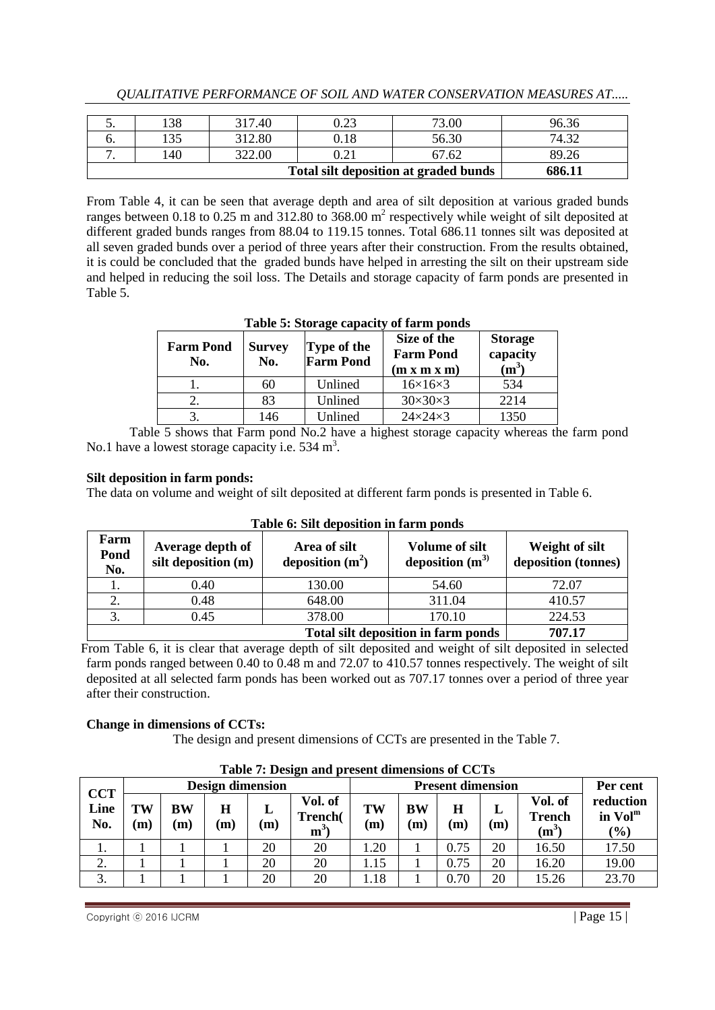| J. | 38  | 317.40 | 0.23 | 73.00 | 96.36 |
|----|-----|--------|------|-------|-------|
| O. | 35  | 312.80 | 0.18 | 56.30 | 74.32 |
|    | 140 | 322.00 | 9.21 | 67.62 | 89.26 |
|    |     | 686.11 |      |       |       |

*QUALITATIVE PERFORMANCE OF SOIL AND WATER CONSERVATION MEASURES AT.....*

From Table 4, it can be seen that average depth and area of silt deposition at various graded bunds ranges between 0.18 to 0.25 m and 312.80 to  $368.00 \text{ m}^2$  respectively while weight of silt deposited at different graded bunds ranges from 88.04 to 119.15 tonnes. Total 686.11 tonnes silt was deposited at all seven graded bunds over a period of three years after their construction. From the results obtained, it is could be concluded that the graded bunds have helped in arresting the silt on their upstream side and helped in reducing the soil loss. The Details and storage capacity of farm ponds are presented in Table 5.

| Table 5: Storage capacity of farm ponds |                      |                                 |                                                |                                       |  |  |  |
|-----------------------------------------|----------------------|---------------------------------|------------------------------------------------|---------------------------------------|--|--|--|
| <b>Farm Pond</b><br>No.                 | <b>Survey</b><br>No. | Type of the<br><b>Farm Pond</b> | Size of the<br><b>Farm Pond</b><br>(m x m x m) | <b>Storage</b><br>capacity<br>$(m^3)$ |  |  |  |
|                                         | 60                   | Unlined                         | $16\times16\times3$                            | 534                                   |  |  |  |
|                                         | 83                   | Unlined                         | $30\times30\times3$                            | 2214                                  |  |  |  |
| 3.                                      | 146                  | Unlined                         | $24\times24\times3$                            | 1350                                  |  |  |  |

# **Table 5: Storage capacity of farm ponds**

Table 5 shows that Farm pond No.2 have a highest storage capacity whereas the farm pond No.1 have a lowest storage capacity i.e.  $534 \text{ m}^3$ .

# **Silt deposition in farm ponds:**

The data on volume and weight of silt deposited at different farm ponds is presented in Table 6.

| Farm<br>Pond<br>No. | Average depth of<br>silt deposition (m)              | Area of silt<br>deposition $(m^2)$ | <b>Volume of silt</b><br>deposition $(m^3)$ | Weight of silt<br>deposition (tonnes) |  |  |  |  |  |  |
|---------------------|------------------------------------------------------|------------------------------------|---------------------------------------------|---------------------------------------|--|--|--|--|--|--|
| Ī.                  | 0.40                                                 | 130.00                             | 54.60                                       | 72.07                                 |  |  |  |  |  |  |
| 2.                  | 0.48                                                 | 648.00                             | 311.04                                      | 410.57                                |  |  |  |  |  |  |
|                     | 0.45                                                 | 378.00                             | 170.10                                      | 224.53                                |  |  |  |  |  |  |
|                     | 707.17<br><b>Total silt deposition in farm ponds</b> |                                    |                                             |                                       |  |  |  |  |  |  |

#### **Table 6: Silt deposition in farm ponds**

From Table 6, it is clear that average depth of silt deposited and weight of silt deposited in selected farm ponds ranged between 0.40 to 0.48 m and 72.07 to 410.57 tonnes respectively. The weight of silt deposited at all selected farm ponds has been worked out as 707.17 tonnes over a period of three year after their construction.

# **Change in dimensions of CCTs:**

The design and present dimensions of CCTs are presented in the Table 7.

|             | Table 7: Design and present dimensions of CCTs      |                  |                   |          |                             |           |                 |          |          |                                     |                                            |
|-------------|-----------------------------------------------------|------------------|-------------------|----------|-----------------------------|-----------|-----------------|----------|----------|-------------------------------------|--------------------------------------------|
| <b>CCT</b>  | <b>Design dimension</b><br><b>Present dimension</b> |                  |                   |          |                             |           | Per cent        |          |          |                                     |                                            |
| Line<br>No. | TW<br>m                                             | <b>BW</b><br>(m) | Н<br>$\mathbf m)$ | L<br>(m) | Vol. of<br>Trench(<br>$m^3$ | TW<br>(m) | <b>BW</b><br>m) | H<br>(m) | L<br>(m) | Vol. of<br><b>Trench</b><br>$(m^3)$ | reduction<br>in Vol <sup>m</sup><br>$(\%)$ |
| ı.          |                                                     |                  |                   | 20       | 20                          | 1.20      |                 | 0.75     | 20       | 16.50                               | 17.50                                      |
| ۷.          |                                                     |                  |                   | 20       | 20                          | 1.15      |                 | 0.75     | 20       | 16.20                               | 19.00                                      |
| 3.          |                                                     |                  |                   | 20       | 20                          | 1.18      |                 | 0.70     | 20       | 15.26                               | 23.70                                      |

**Table 7: Design and present dimensions of CCTs**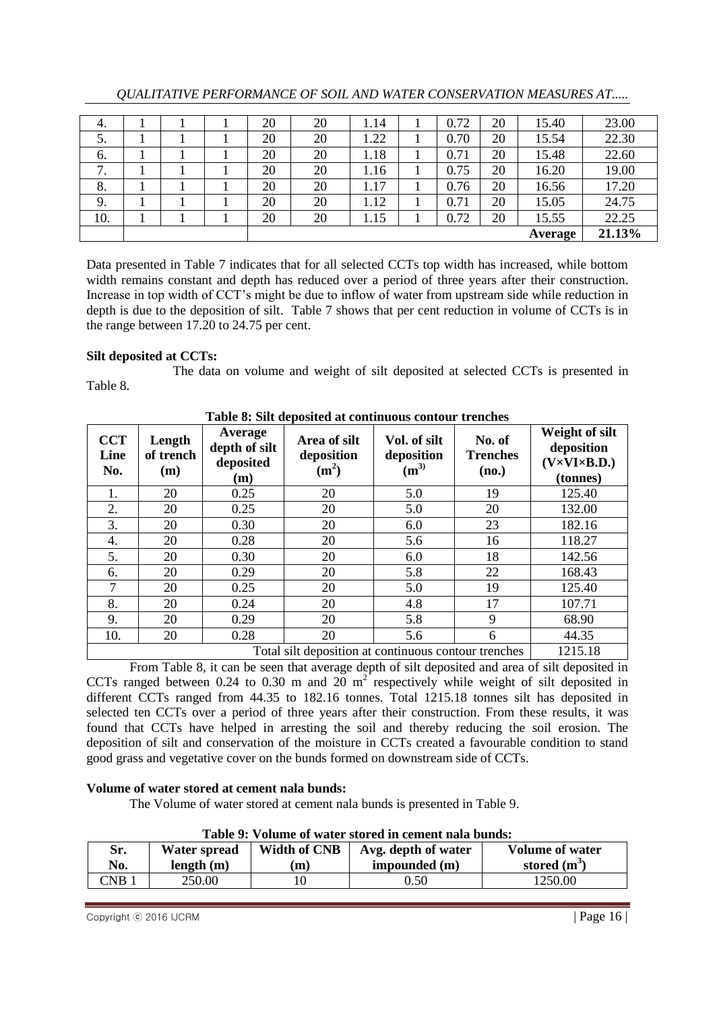| 4.                  |  | 20 | 20 | 1.14 |  | 0.72 | 20 | 15.40   | 23.00  |
|---------------------|--|----|----|------|--|------|----|---------|--------|
| 5.                  |  | 20 | 20 | 1.22 |  | 0.70 | 20 | 15.54   | 22.30  |
| 6.                  |  | 20 | 20 | 1.18 |  | 0.71 | 20 | 15.48   | 22.60  |
| $\mathbf{r}$<br>. . |  | 20 | 20 | 1.16 |  | 0.75 | 20 | 16.20   | 19.00  |
| 8.                  |  | 20 | 20 | 1.17 |  | 0.76 | 20 | 16.56   | 17.20  |
| 9.                  |  | 20 | 20 | 1.12 |  | 0.71 | 20 | 15.05   | 24.75  |
| 10.                 |  | 20 | 20 | 1.15 |  | 0.72 | 20 | 15.55   | 22.25  |
|                     |  |    |    |      |  |      |    | Average | 21.13% |

*QUALITATIVE PERFORMANCE OF SOIL AND WATER CONSERVATION MEASURES AT.....*

Data presented in Table 7 indicates that for all selected CCTs top width has increased, while bottom width remains constant and depth has reduced over a period of three years after their construction. Increase in top width of CCT's might be due to inflow of water from upstream side while reduction in depth is due to the deposition of silt. Table 7 shows that per cent reduction in volume of CCTs is in the range between 17.20 to 24.75 per cent.

# **Silt deposited at CCTs:**

The data on volume and weight of silt deposited at selected CCTs is presented in Table 8.

| <b>CCT</b><br>Line<br>No. | Length<br>of trench<br>(m) | Average<br>depth of silt<br>deposited<br>(m) | Area of silt<br>deposition<br>$(m^2)$ | Vol. of silt<br>deposition<br>$(m^{3})$ | No. of<br><b>Trenches</b><br>(no.) | Weight of silt<br>deposition<br>$(V \times V I \times B.D.)$<br>(tonnes) |
|---------------------------|----------------------------|----------------------------------------------|---------------------------------------|-----------------------------------------|------------------------------------|--------------------------------------------------------------------------|
| 1.                        | 20                         | 0.25                                         | 20                                    | 5.0                                     | 19                                 | 125.40                                                                   |
| 2.                        | 20                         | 0.25                                         | 20                                    | 5.0                                     | 20                                 | 132.00                                                                   |
| 3.                        | 20                         | 0.30                                         | 20                                    | 6.0                                     | 23                                 | 182.16                                                                   |
| 4.                        | 20                         | 0.28                                         | 20                                    | 5.6                                     | 16                                 | 118.27                                                                   |
| 5.                        | 20                         | 0.30                                         | 20                                    | 6.0                                     | 18                                 | 142.56                                                                   |
| 6.                        | 20                         | 0.29                                         | 20                                    | 5.8                                     | 22                                 | 168.43                                                                   |
| 7                         | 20                         | 0.25                                         | 20                                    | 5.0                                     | 19                                 | 125.40                                                                   |
| 8.                        | 20                         | 0.24                                         | 20                                    | 4.8                                     | 17                                 | 107.71                                                                   |
| 9.                        | 20                         | 0.29                                         | 20                                    | 5.8                                     | 9                                  | 68.90                                                                    |
| 10.                       | 20                         | 0.28                                         | 20                                    | 5.6                                     | 6                                  | 44.35                                                                    |
|                           |                            |                                              | $\cdot$ $\cdot$<br>.                  |                                         |                                    | $- - - - -$                                                              |

**Table 8: Silt deposited at continuous contour trenches**

Total silt deposition at continuous contour trenches | 1215.18

From Table 8, it can be seen that average depth of silt deposited and area of silt deposited in CCTs ranged between 0.24 to 0.30 m and 20  $m^2$  respectively while weight of silt deposited in different CCTs ranged from 44.35 to 182.16 tonnes. Total 1215.18 tonnes silt has deposited in selected ten CCTs over a period of three years after their construction. From these results, it was found that CCTs have helped in arresting the soil and thereby reducing the soil erosion. The deposition of silt and conservation of the moisture in CCTs created a favourable condition to stand good grass and vegetative cover on the bunds formed on downstream side of CCTs.

# **Volume of water stored at cement nala bunds:**

The Volume of water stored at cement nala bunds is presented in Table 9.

|             | Table 9: Volume of water stored in cement nala bunds:                                       |                |      |         |  |  |  |  |  |  |
|-------------|---------------------------------------------------------------------------------------------|----------------|------|---------|--|--|--|--|--|--|
| Sr.         | <b>Width of CNB</b><br><b>Volume of water</b><br>Avg. depth of water<br><b>Water spread</b> |                |      |         |  |  |  |  |  |  |
| No.         | length(m)                                                                                   | stored $(m^3)$ |      |         |  |  |  |  |  |  |
| $\sqrt{AB}$ | 250.00                                                                                      |                | 0.50 | 1250.00 |  |  |  |  |  |  |

# **Table 9: Volume of water stored in cement nala bunds:**